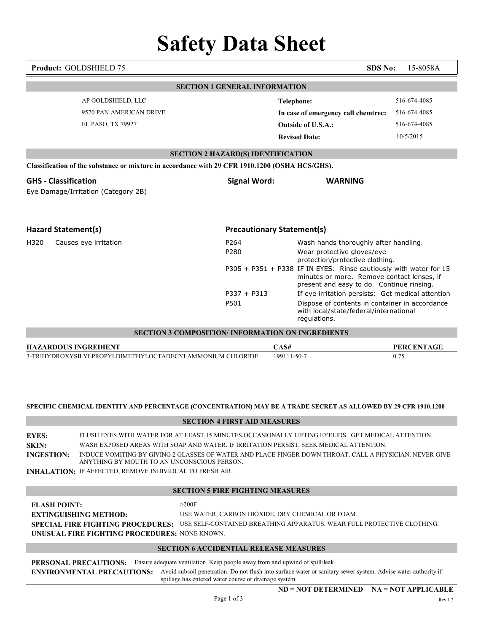# Safety Data Sheet Product: GOLDSHIELD 75 SDS No: 15-8058A SECTION 1 GENERAL INFORMATION Revised Date: 10/5/2015 SECTION 2 HAZARD(S) IDENTIFICATION SECTION 2 IJAZARD(S) IDENTIFICATION<br>
SCIENCION (OSITA HESIGNE)<br>
Signal Word: WARNING<br>
Eye Damage/Irritation (Category 2B)<br>
Signal Word: WARNING<br>
Five Damage/Irritation (Category 2B)<br>
Hazard Statement(s)<br>
P206 Pass and thou SECTION 2 IIAZARDOS IDENTIFICATION<br>
Signal Word: WARNING<br>
CHASSIFICATION<br>
EPREDICATION (Category 2B)<br>
Hazard Statement(s)<br>
Figure Universe Company Statement(s)<br>
Hazard Statement(s)<br>
Facebook (Category 2B)<br>
Hazard Statement SECTION 3 COMPOSITION/ INFORMATION ON INGREDIENTS 0.75 Classification of the substance or mixture in accordance with 29 CFR 1910.1200 (OSHA HCS/GHS). Froduct: GOLDSHIELD 75<br>
SECTION I GENERAL INFORMATION<br>
AP GOLDSHIELD LLC<br>
STOPAN AMERICAN DRIVE<br>
STOPAN AMERICAN DRIVE<br>
FI.PASO, TX 79927<br>
ELETION 2 LIAZARD/S) IDENTIFICATION<br>
EVENTOR 2 LIAZARD/S) IDENTIFICATION<br>
EVENTOR 2 Safety Data Sheet<br>
Product: GOLDSHIELD 75<br>
AP GOLDSHIELD.LLC<br>
AP GOLDSHIELD.LLC<br>
SYNDPAN AMERICAN DRIVE<br>
SIGNAL AMERICAN DRIVE<br>
EL PASO, TX 79927<br>
SECTION 2 HAZARD(S) DENTIFICATION<br>
Classification of the substance or mittu **Safety Data Sheet**<br>
Product: GOLDSHIELD 75<br>
SECTION 1 GENERAL INFORMATION<br>
APGOLDSHIELD LLC<br>
SECTION 1 GENERAL INFORMATION<br>
Telephone:<br>
EL PASO, TX 79927<br>
EL PASO, TX 79927<br>
Classification of the substance or mixture in **Data Sheet**<br>
SDS No: 15-8058A<br>
INFERAL INFORMATION<br>
Telephone: 516-674-4085<br>
In case of emergency call chemitre: 516-674-4085<br>
Outside of U.S.A.: 516-674-4085<br>
Revised Date: 10/5/2015<br>
ARD(S) IDENTIFICATION<br>
NREVISO IDENT protection/protective clothing. SDS No: 15-8058A<br>
INTERAL INFORMATION<br>
Telephone: 516-674-4085<br>
In case of emergency call chemirec: 516-674-4085<br>
Outside of U.S.A.: 516-674-4085<br>
Revised Date: 10/5/2015<br>
ARD(S) IDENTIFICATION<br>
CFR 1910.1200 (OSIIA HCS/GH minutes or more. Remove contact lenses, if present and easy to do. Continue rinsing. PERAL INFORMATION<br>
Telephone: 516-674-4085<br>
In case of emergency call chemirec: 516-674-4085<br>
Outside of U.S.A.: 516-674-4085<br>
Revised Date: 10/5/2015<br>
ARD(S) IDENTIFICATION<br>
CEN 1910.1200 (OSHA HCS/GHS).<br>
Signal Word: WAR Telephone: 516-674-4085<br>
In case of emergency call chemitrec: 516-674-4085<br>
Outside of U.S.A.: 516-674-4085<br>
Revised Date: 10/5/2015<br>
REVIETCATION<br>
REVIETCATION<br>
Signal Word: WARNING<br>
Precautionary Statement(s)<br>
Precaution with local/state/federal/international regulations. Eye Damage/Irritation (Category 2B) AP GOLDSHIELD, LLC **Telephone:** 9570 PAN AMERICAN DRIVE EL PASO, TX 79927 516-674-4085 In case of emergency call chemtrec: 516-674-4085 **Outside of U.S.A.:** 516-674-4085

## SPECIFIC CHEMICAL IDENTITY AND PERCENTAGE (CONCENTRATION) MAY BE A TRADE SECRET AS ALLOWED BY 29 CFR 1910.1200

### SECTION 4 FIRST AID MEASURES

|                                                   | SPECIFIC CHEMICAL IDENTITY AND PERCENTAGE (CONCENTRATION) MAY BE A TRADE SECRET AS ALLOWED BY 29 CFR 1910.1200                                                                                                                                                                                                                                                                                                             |
|---------------------------------------------------|----------------------------------------------------------------------------------------------------------------------------------------------------------------------------------------------------------------------------------------------------------------------------------------------------------------------------------------------------------------------------------------------------------------------------|
|                                                   | <b>SECTION 4 FIRST AID MEASURES</b>                                                                                                                                                                                                                                                                                                                                                                                        |
| <b>EYES:</b><br><b>SKIN:</b><br><b>INGESTION:</b> | FLUSH EYES WITH WATER FOR AT LEAST 15 MINUTES, OCCASIONALLY LIFTING EYELIDS. GET MEDICAL ATTENTION.<br>WASH EXPOSED AREAS WITH SOAP AND WATER. IF IRRITATION PERSIST, SEEK MEDICAL ATTENTION.<br>INDUCE VOMITING BY GIVING 2 GLASSES OF WATER AND PLACE FINGER DOWN THROAT. CALL A PHYSICIAN. NEVER GIVE<br>ANYTHING BY MOUTH TO AN UNCONSCIOUS PERSON.<br><b>INHALATION: IF AFFECTED, REMOVE INDIVIDUAL TO FRESH AIR.</b> |
|                                                   | <b>SECTION 5 FIRE FIGHTING MEASURES</b>                                                                                                                                                                                                                                                                                                                                                                                    |
| <b>FLASH POINT:</b>                               | >200F<br>USE WATER, CARBON DIOXIDE, DRY CHEMICAL OR FOAM.<br><b>EXTINGUISHING METHOD:</b><br>SPECIAL FIRE FIGHTING PROCEDURES: USE SELF-CONTAINED BREATHING APPARATUS. WEAR FULL PROTECTIVE CLOTHING.<br>UNUSUAL FIRE FIGHTING PROCEDURES: NONE KNOWN.                                                                                                                                                                     |
|                                                   | <b>SECTION 6 ACCIDENTIAL RELEASE MEASURES</b>                                                                                                                                                                                                                                                                                                                                                                              |
|                                                   | <b>PERSONAL PRECAUTIONS:</b><br>Ensure adequate ventilation. Keep people away from and upwind of spill/leak.<br>Avoid subsoil penetration. Do not flush into surface water or sanitary sewer system. Advise water authority if<br><b>ENVIRONMENTAL PRECAUTIONS:</b><br>spillage has entered water course or drainage system.                                                                                               |
|                                                   | $ND = NOT DETERMINED$ $NA = NOT APPLICABLE$<br>Page 1 of 3<br>Rev 1.2                                                                                                                                                                                                                                                                                                                                                      |

### SECTION 5 FIRE FIGHTING MEASURES

| <b>FLASH POINT:</b>                           | $>200$ F                                                                                                 |
|-----------------------------------------------|----------------------------------------------------------------------------------------------------------|
| <b>EXTINGUISHING METHOD:</b>                  | USE WATER, CARBON DIOXIDE, DRY CHEMICAL OR FOAM.                                                         |
|                                               | SPECIAL FIRE FIGHTING PROCEDURES: USE SELF-CONTAINED BREATHING APPARATUS. WEAR FULL PROTECTIVE CLOTHING. |
| UNUSUAL FIRE FIGHTING PROCEDURES: NONE KNOWN. |                                                                                                          |

# SECTION 6 ACCIDENTIAL RELEASE MEASURES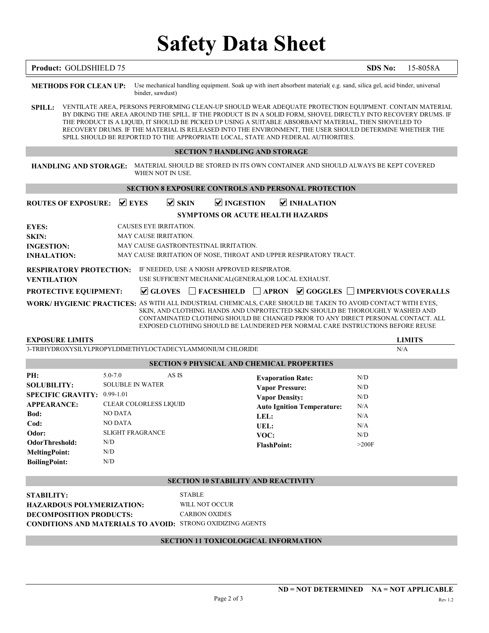# Safety Data Sheet

| Product: GOLDSHIELD 75<br><b>SDS No:</b><br>15-8058A<br>Use mechanical handling equipment. Soak up with inert absorbent material(e.g. sand, silica gel, acid binder, universal<br><b>METHODS FOR CLEAN UP:</b><br>binder, sawdust)<br>SPILL:<br>THE PRODUCT IS A LIQUID, IT SHOULD BE PICKED UP USING A SUITABLE ABSORBANT MATERIAL, THEN SHOVELED TO<br>SPILL SHOULD BE REPORTED TO THE APPROPRIATE LOCAL, STATE AND FEDERAL AUTHORITIES.<br><b>SECTION 7 HANDLING AND STORAGE</b><br>MATERIAL SHOULD BE STORED IN ITS OWN CONTAINER AND SHOULD ALWAYS BE KEPT COVERED<br><b>HANDLING AND STORAGE:</b><br>WHEN NOT IN USE.<br><b>SECTION 8 EXPOSURE CONTROLS AND PERSONAL PROTECTION</b><br>$\vee$ EYES<br>$\vee$ SKIN<br><b>☑ INGESTION</b><br><b>ROUTES OF EXPOSURE:</b><br>$\vee$ INHALATION<br>SYMPTOMS OR ACUTE HEALTH HAZARDS<br><b>EYES:</b><br>CAUSES EYE IRRITATION.<br>SKIN:<br>MAY CAUSE IRRITATION.<br><b>INGESTION:</b><br>MAY CAUSE GASTROINTESTINAL IRRITATION.<br><b>INHALATION:</b><br>MAY CAUSE IRRITATION OF NOSE, THROAT AND UPPER RESPIRATORY TRACT.<br><b>RESPIRATORY PROTECTION:</b> IF NEEDED, USE A NIOSH APPROVED RESPIRATOR.<br><b>VENTILATION</b><br>USE SUFFICIENT MECHANICAL(GENERAL)OR LOCAL EXHAUST.<br>PROTECTIVE EQUIPMENT:<br><b>WORK/HYGIENIC PRACTICES: AS WITH ALL INDUSTRIAL CHEMICALS, CARE SHOULD BE TAKEN TO AVOID CONTACT WITH EYES,</b><br>SKIN, AND CLOTHING. HANDS AND UNPROTECTED SKIN SHOULD BE THOROUGHLY WASHED AND<br>EXPOSED CLOTHING SHOULD BE LAUNDERED PER NORMAL CARE INSTRUCTIONS BEFORE REUSE<br><b>EXPOSURE LIMITS</b><br><b>LIMITS</b><br>3-TRIHYDROXYSILYLPROPYLDIMETHYLOCTADECYLAMMONIUM CHLORIDE<br>N/A<br><b>SECTION 9 PHYSICAL AND CHEMICAL PROPERTIES</b><br>PH:<br>$5.0 - 7.0$<br>AS IS<br>N/D<br><b>Evaporation Rate:</b><br><b>SOLUBILITY:</b><br><b>SOLUBLE IN WATER</b><br><b>Vapor Pressure:</b><br>N/D<br>SPECIFIC GRAVITY: 0.99-1.01<br><b>Vapor Density:</b><br>N/D<br><b>APPEARANCE:</b><br><b>CLEAR COLORLESS LIQUID</b><br><b>Auto Ignition Temperature:</b><br>N/A<br>Bod:<br>NO DATA<br>LEL:<br>N/A<br>NO DATA<br>Cod:<br>N/A<br>UEL:<br><b>SLIGHT FRAGRANCE</b><br>Odor:<br>VOC:<br>N/D<br><b>OdorThreshold:</b><br>N/D<br>>200F<br><b>FlashPoint:</b><br>${\rm N/D}$<br><b>MeltingPoint:</b><br>N/D<br><b>BoilingPoint:</b><br><b>SECTION 10 STABILITY AND REACTIVITY</b><br><b>STABLE</b><br><b>STABILITY:</b><br>WILL NOT OCCUR<br><b>HAZARDOUS POLYMERIZATION:</b><br><b>CARBON OXIDES</b><br><b>DECOMPOSITION PRODUCTS:</b><br><b>CONDITIONS AND MATERIALS TO AVOID: STRONG OXIDIZING AGENTS</b><br>SECTION 11 TOXICOLOGICAL INFORMATION<br>Page 2 of 3 | VENTILATE AREA, PERSONS PERFORMING CLEAN-UP SHOULD WEAR ADEQUATE PROTECTION EQUIPMENT. CONTAIN MATERIAL<br>BY DIKING THE AREA AROUND THE SPILL. IF THE PRODUCT IS IN A SOLID FORM, SHOVEL DIRECTLY INTO RECOVERY DRUMS. IF<br>RECOVERY DRUMS. IF THE MATERIAL IS RELEASED INTO THE ENVIRONMENT, THE USER SHOULD DETERMINE WHETHER THE<br>$\Box$ GLOVES $\Box$ FACESHIELD $\Box$ APRON $\Box$ GOGGLES $\Box$ IMPERVIOUS COVERALLS<br>CONTAMINATED CLOTHING SHOULD BE CHANGED PRIOR TO ANY DIRECT PERSONAL CONTACT. ALL<br>$ND = NOT DETERMINED$ $NA = NOT APPLICABLE$ |  |  |         |
|------------------------------------------------------------------------------------------------------------------------------------------------------------------------------------------------------------------------------------------------------------------------------------------------------------------------------------------------------------------------------------------------------------------------------------------------------------------------------------------------------------------------------------------------------------------------------------------------------------------------------------------------------------------------------------------------------------------------------------------------------------------------------------------------------------------------------------------------------------------------------------------------------------------------------------------------------------------------------------------------------------------------------------------------------------------------------------------------------------------------------------------------------------------------------------------------------------------------------------------------------------------------------------------------------------------------------------------------------------------------------------------------------------------------------------------------------------------------------------------------------------------------------------------------------------------------------------------------------------------------------------------------------------------------------------------------------------------------------------------------------------------------------------------------------------------------------------------------------------------------------------------------------------------------------------------------------------------------------------------------------------------------------------------------------------------------------------------------------------------------------------------------------------------------------------------------------------------------------------------------------------------------------------------------------------------------------------------------------------------------------------------------------------------------------------------------------------------------------------------------------------------------------------------------------------------------------------------------------------------------------------------------|----------------------------------------------------------------------------------------------------------------------------------------------------------------------------------------------------------------------------------------------------------------------------------------------------------------------------------------------------------------------------------------------------------------------------------------------------------------------------------------------------------------------------------------------------------------------|--|--|---------|
|                                                                                                                                                                                                                                                                                                                                                                                                                                                                                                                                                                                                                                                                                                                                                                                                                                                                                                                                                                                                                                                                                                                                                                                                                                                                                                                                                                                                                                                                                                                                                                                                                                                                                                                                                                                                                                                                                                                                                                                                                                                                                                                                                                                                                                                                                                                                                                                                                                                                                                                                                                                                                                                |                                                                                                                                                                                                                                                                                                                                                                                                                                                                                                                                                                      |  |  |         |
|                                                                                                                                                                                                                                                                                                                                                                                                                                                                                                                                                                                                                                                                                                                                                                                                                                                                                                                                                                                                                                                                                                                                                                                                                                                                                                                                                                                                                                                                                                                                                                                                                                                                                                                                                                                                                                                                                                                                                                                                                                                                                                                                                                                                                                                                                                                                                                                                                                                                                                                                                                                                                                                |                                                                                                                                                                                                                                                                                                                                                                                                                                                                                                                                                                      |  |  |         |
|                                                                                                                                                                                                                                                                                                                                                                                                                                                                                                                                                                                                                                                                                                                                                                                                                                                                                                                                                                                                                                                                                                                                                                                                                                                                                                                                                                                                                                                                                                                                                                                                                                                                                                                                                                                                                                                                                                                                                                                                                                                                                                                                                                                                                                                                                                                                                                                                                                                                                                                                                                                                                                                |                                                                                                                                                                                                                                                                                                                                                                                                                                                                                                                                                                      |  |  |         |
|                                                                                                                                                                                                                                                                                                                                                                                                                                                                                                                                                                                                                                                                                                                                                                                                                                                                                                                                                                                                                                                                                                                                                                                                                                                                                                                                                                                                                                                                                                                                                                                                                                                                                                                                                                                                                                                                                                                                                                                                                                                                                                                                                                                                                                                                                                                                                                                                                                                                                                                                                                                                                                                |                                                                                                                                                                                                                                                                                                                                                                                                                                                                                                                                                                      |  |  |         |
|                                                                                                                                                                                                                                                                                                                                                                                                                                                                                                                                                                                                                                                                                                                                                                                                                                                                                                                                                                                                                                                                                                                                                                                                                                                                                                                                                                                                                                                                                                                                                                                                                                                                                                                                                                                                                                                                                                                                                                                                                                                                                                                                                                                                                                                                                                                                                                                                                                                                                                                                                                                                                                                |                                                                                                                                                                                                                                                                                                                                                                                                                                                                                                                                                                      |  |  |         |
|                                                                                                                                                                                                                                                                                                                                                                                                                                                                                                                                                                                                                                                                                                                                                                                                                                                                                                                                                                                                                                                                                                                                                                                                                                                                                                                                                                                                                                                                                                                                                                                                                                                                                                                                                                                                                                                                                                                                                                                                                                                                                                                                                                                                                                                                                                                                                                                                                                                                                                                                                                                                                                                |                                                                                                                                                                                                                                                                                                                                                                                                                                                                                                                                                                      |  |  |         |
|                                                                                                                                                                                                                                                                                                                                                                                                                                                                                                                                                                                                                                                                                                                                                                                                                                                                                                                                                                                                                                                                                                                                                                                                                                                                                                                                                                                                                                                                                                                                                                                                                                                                                                                                                                                                                                                                                                                                                                                                                                                                                                                                                                                                                                                                                                                                                                                                                                                                                                                                                                                                                                                |                                                                                                                                                                                                                                                                                                                                                                                                                                                                                                                                                                      |  |  |         |
|                                                                                                                                                                                                                                                                                                                                                                                                                                                                                                                                                                                                                                                                                                                                                                                                                                                                                                                                                                                                                                                                                                                                                                                                                                                                                                                                                                                                                                                                                                                                                                                                                                                                                                                                                                                                                                                                                                                                                                                                                                                                                                                                                                                                                                                                                                                                                                                                                                                                                                                                                                                                                                                |                                                                                                                                                                                                                                                                                                                                                                                                                                                                                                                                                                      |  |  |         |
|                                                                                                                                                                                                                                                                                                                                                                                                                                                                                                                                                                                                                                                                                                                                                                                                                                                                                                                                                                                                                                                                                                                                                                                                                                                                                                                                                                                                                                                                                                                                                                                                                                                                                                                                                                                                                                                                                                                                                                                                                                                                                                                                                                                                                                                                                                                                                                                                                                                                                                                                                                                                                                                |                                                                                                                                                                                                                                                                                                                                                                                                                                                                                                                                                                      |  |  |         |
|                                                                                                                                                                                                                                                                                                                                                                                                                                                                                                                                                                                                                                                                                                                                                                                                                                                                                                                                                                                                                                                                                                                                                                                                                                                                                                                                                                                                                                                                                                                                                                                                                                                                                                                                                                                                                                                                                                                                                                                                                                                                                                                                                                                                                                                                                                                                                                                                                                                                                                                                                                                                                                                |                                                                                                                                                                                                                                                                                                                                                                                                                                                                                                                                                                      |  |  |         |
|                                                                                                                                                                                                                                                                                                                                                                                                                                                                                                                                                                                                                                                                                                                                                                                                                                                                                                                                                                                                                                                                                                                                                                                                                                                                                                                                                                                                                                                                                                                                                                                                                                                                                                                                                                                                                                                                                                                                                                                                                                                                                                                                                                                                                                                                                                                                                                                                                                                                                                                                                                                                                                                |                                                                                                                                                                                                                                                                                                                                                                                                                                                                                                                                                                      |  |  |         |
|                                                                                                                                                                                                                                                                                                                                                                                                                                                                                                                                                                                                                                                                                                                                                                                                                                                                                                                                                                                                                                                                                                                                                                                                                                                                                                                                                                                                                                                                                                                                                                                                                                                                                                                                                                                                                                                                                                                                                                                                                                                                                                                                                                                                                                                                                                                                                                                                                                                                                                                                                                                                                                                |                                                                                                                                                                                                                                                                                                                                                                                                                                                                                                                                                                      |  |  |         |
|                                                                                                                                                                                                                                                                                                                                                                                                                                                                                                                                                                                                                                                                                                                                                                                                                                                                                                                                                                                                                                                                                                                                                                                                                                                                                                                                                                                                                                                                                                                                                                                                                                                                                                                                                                                                                                                                                                                                                                                                                                                                                                                                                                                                                                                                                                                                                                                                                                                                                                                                                                                                                                                |                                                                                                                                                                                                                                                                                                                                                                                                                                                                                                                                                                      |  |  |         |
|                                                                                                                                                                                                                                                                                                                                                                                                                                                                                                                                                                                                                                                                                                                                                                                                                                                                                                                                                                                                                                                                                                                                                                                                                                                                                                                                                                                                                                                                                                                                                                                                                                                                                                                                                                                                                                                                                                                                                                                                                                                                                                                                                                                                                                                                                                                                                                                                                                                                                                                                                                                                                                                |                                                                                                                                                                                                                                                                                                                                                                                                                                                                                                                                                                      |  |  |         |
|                                                                                                                                                                                                                                                                                                                                                                                                                                                                                                                                                                                                                                                                                                                                                                                                                                                                                                                                                                                                                                                                                                                                                                                                                                                                                                                                                                                                                                                                                                                                                                                                                                                                                                                                                                                                                                                                                                                                                                                                                                                                                                                                                                                                                                                                                                                                                                                                                                                                                                                                                                                                                                                |                                                                                                                                                                                                                                                                                                                                                                                                                                                                                                                                                                      |  |  |         |
|                                                                                                                                                                                                                                                                                                                                                                                                                                                                                                                                                                                                                                                                                                                                                                                                                                                                                                                                                                                                                                                                                                                                                                                                                                                                                                                                                                                                                                                                                                                                                                                                                                                                                                                                                                                                                                                                                                                                                                                                                                                                                                                                                                                                                                                                                                                                                                                                                                                                                                                                                                                                                                                |                                                                                                                                                                                                                                                                                                                                                                                                                                                                                                                                                                      |  |  |         |
|                                                                                                                                                                                                                                                                                                                                                                                                                                                                                                                                                                                                                                                                                                                                                                                                                                                                                                                                                                                                                                                                                                                                                                                                                                                                                                                                                                                                                                                                                                                                                                                                                                                                                                                                                                                                                                                                                                                                                                                                                                                                                                                                                                                                                                                                                                                                                                                                                                                                                                                                                                                                                                                |                                                                                                                                                                                                                                                                                                                                                                                                                                                                                                                                                                      |  |  |         |
|                                                                                                                                                                                                                                                                                                                                                                                                                                                                                                                                                                                                                                                                                                                                                                                                                                                                                                                                                                                                                                                                                                                                                                                                                                                                                                                                                                                                                                                                                                                                                                                                                                                                                                                                                                                                                                                                                                                                                                                                                                                                                                                                                                                                                                                                                                                                                                                                                                                                                                                                                                                                                                                |                                                                                                                                                                                                                                                                                                                                                                                                                                                                                                                                                                      |  |  |         |
|                                                                                                                                                                                                                                                                                                                                                                                                                                                                                                                                                                                                                                                                                                                                                                                                                                                                                                                                                                                                                                                                                                                                                                                                                                                                                                                                                                                                                                                                                                                                                                                                                                                                                                                                                                                                                                                                                                                                                                                                                                                                                                                                                                                                                                                                                                                                                                                                                                                                                                                                                                                                                                                |                                                                                                                                                                                                                                                                                                                                                                                                                                                                                                                                                                      |  |  |         |
|                                                                                                                                                                                                                                                                                                                                                                                                                                                                                                                                                                                                                                                                                                                                                                                                                                                                                                                                                                                                                                                                                                                                                                                                                                                                                                                                                                                                                                                                                                                                                                                                                                                                                                                                                                                                                                                                                                                                                                                                                                                                                                                                                                                                                                                                                                                                                                                                                                                                                                                                                                                                                                                |                                                                                                                                                                                                                                                                                                                                                                                                                                                                                                                                                                      |  |  |         |
|                                                                                                                                                                                                                                                                                                                                                                                                                                                                                                                                                                                                                                                                                                                                                                                                                                                                                                                                                                                                                                                                                                                                                                                                                                                                                                                                                                                                                                                                                                                                                                                                                                                                                                                                                                                                                                                                                                                                                                                                                                                                                                                                                                                                                                                                                                                                                                                                                                                                                                                                                                                                                                                |                                                                                                                                                                                                                                                                                                                                                                                                                                                                                                                                                                      |  |  |         |
|                                                                                                                                                                                                                                                                                                                                                                                                                                                                                                                                                                                                                                                                                                                                                                                                                                                                                                                                                                                                                                                                                                                                                                                                                                                                                                                                                                                                                                                                                                                                                                                                                                                                                                                                                                                                                                                                                                                                                                                                                                                                                                                                                                                                                                                                                                                                                                                                                                                                                                                                                                                                                                                |                                                                                                                                                                                                                                                                                                                                                                                                                                                                                                                                                                      |  |  |         |
|                                                                                                                                                                                                                                                                                                                                                                                                                                                                                                                                                                                                                                                                                                                                                                                                                                                                                                                                                                                                                                                                                                                                                                                                                                                                                                                                                                                                                                                                                                                                                                                                                                                                                                                                                                                                                                                                                                                                                                                                                                                                                                                                                                                                                                                                                                                                                                                                                                                                                                                                                                                                                                                |                                                                                                                                                                                                                                                                                                                                                                                                                                                                                                                                                                      |  |  |         |
|                                                                                                                                                                                                                                                                                                                                                                                                                                                                                                                                                                                                                                                                                                                                                                                                                                                                                                                                                                                                                                                                                                                                                                                                                                                                                                                                                                                                                                                                                                                                                                                                                                                                                                                                                                                                                                                                                                                                                                                                                                                                                                                                                                                                                                                                                                                                                                                                                                                                                                                                                                                                                                                |                                                                                                                                                                                                                                                                                                                                                                                                                                                                                                                                                                      |  |  |         |
|                                                                                                                                                                                                                                                                                                                                                                                                                                                                                                                                                                                                                                                                                                                                                                                                                                                                                                                                                                                                                                                                                                                                                                                                                                                                                                                                                                                                                                                                                                                                                                                                                                                                                                                                                                                                                                                                                                                                                                                                                                                                                                                                                                                                                                                                                                                                                                                                                                                                                                                                                                                                                                                |                                                                                                                                                                                                                                                                                                                                                                                                                                                                                                                                                                      |  |  |         |
|                                                                                                                                                                                                                                                                                                                                                                                                                                                                                                                                                                                                                                                                                                                                                                                                                                                                                                                                                                                                                                                                                                                                                                                                                                                                                                                                                                                                                                                                                                                                                                                                                                                                                                                                                                                                                                                                                                                                                                                                                                                                                                                                                                                                                                                                                                                                                                                                                                                                                                                                                                                                                                                |                                                                                                                                                                                                                                                                                                                                                                                                                                                                                                                                                                      |  |  |         |
|                                                                                                                                                                                                                                                                                                                                                                                                                                                                                                                                                                                                                                                                                                                                                                                                                                                                                                                                                                                                                                                                                                                                                                                                                                                                                                                                                                                                                                                                                                                                                                                                                                                                                                                                                                                                                                                                                                                                                                                                                                                                                                                                                                                                                                                                                                                                                                                                                                                                                                                                                                                                                                                |                                                                                                                                                                                                                                                                                                                                                                                                                                                                                                                                                                      |  |  |         |
|                                                                                                                                                                                                                                                                                                                                                                                                                                                                                                                                                                                                                                                                                                                                                                                                                                                                                                                                                                                                                                                                                                                                                                                                                                                                                                                                                                                                                                                                                                                                                                                                                                                                                                                                                                                                                                                                                                                                                                                                                                                                                                                                                                                                                                                                                                                                                                                                                                                                                                                                                                                                                                                |                                                                                                                                                                                                                                                                                                                                                                                                                                                                                                                                                                      |  |  |         |
|                                                                                                                                                                                                                                                                                                                                                                                                                                                                                                                                                                                                                                                                                                                                                                                                                                                                                                                                                                                                                                                                                                                                                                                                                                                                                                                                                                                                                                                                                                                                                                                                                                                                                                                                                                                                                                                                                                                                                                                                                                                                                                                                                                                                                                                                                                                                                                                                                                                                                                                                                                                                                                                |                                                                                                                                                                                                                                                                                                                                                                                                                                                                                                                                                                      |  |  |         |
|                                                                                                                                                                                                                                                                                                                                                                                                                                                                                                                                                                                                                                                                                                                                                                                                                                                                                                                                                                                                                                                                                                                                                                                                                                                                                                                                                                                                                                                                                                                                                                                                                                                                                                                                                                                                                                                                                                                                                                                                                                                                                                                                                                                                                                                                                                                                                                                                                                                                                                                                                                                                                                                |                                                                                                                                                                                                                                                                                                                                                                                                                                                                                                                                                                      |  |  |         |
|                                                                                                                                                                                                                                                                                                                                                                                                                                                                                                                                                                                                                                                                                                                                                                                                                                                                                                                                                                                                                                                                                                                                                                                                                                                                                                                                                                                                                                                                                                                                                                                                                                                                                                                                                                                                                                                                                                                                                                                                                                                                                                                                                                                                                                                                                                                                                                                                                                                                                                                                                                                                                                                |                                                                                                                                                                                                                                                                                                                                                                                                                                                                                                                                                                      |  |  |         |
|                                                                                                                                                                                                                                                                                                                                                                                                                                                                                                                                                                                                                                                                                                                                                                                                                                                                                                                                                                                                                                                                                                                                                                                                                                                                                                                                                                                                                                                                                                                                                                                                                                                                                                                                                                                                                                                                                                                                                                                                                                                                                                                                                                                                                                                                                                                                                                                                                                                                                                                                                                                                                                                |                                                                                                                                                                                                                                                                                                                                                                                                                                                                                                                                                                      |  |  |         |
|                                                                                                                                                                                                                                                                                                                                                                                                                                                                                                                                                                                                                                                                                                                                                                                                                                                                                                                                                                                                                                                                                                                                                                                                                                                                                                                                                                                                                                                                                                                                                                                                                                                                                                                                                                                                                                                                                                                                                                                                                                                                                                                                                                                                                                                                                                                                                                                                                                                                                                                                                                                                                                                |                                                                                                                                                                                                                                                                                                                                                                                                                                                                                                                                                                      |  |  |         |
|                                                                                                                                                                                                                                                                                                                                                                                                                                                                                                                                                                                                                                                                                                                                                                                                                                                                                                                                                                                                                                                                                                                                                                                                                                                                                                                                                                                                                                                                                                                                                                                                                                                                                                                                                                                                                                                                                                                                                                                                                                                                                                                                                                                                                                                                                                                                                                                                                                                                                                                                                                                                                                                |                                                                                                                                                                                                                                                                                                                                                                                                                                                                                                                                                                      |  |  |         |
|                                                                                                                                                                                                                                                                                                                                                                                                                                                                                                                                                                                                                                                                                                                                                                                                                                                                                                                                                                                                                                                                                                                                                                                                                                                                                                                                                                                                                                                                                                                                                                                                                                                                                                                                                                                                                                                                                                                                                                                                                                                                                                                                                                                                                                                                                                                                                                                                                                                                                                                                                                                                                                                |                                                                                                                                                                                                                                                                                                                                                                                                                                                                                                                                                                      |  |  |         |
|                                                                                                                                                                                                                                                                                                                                                                                                                                                                                                                                                                                                                                                                                                                                                                                                                                                                                                                                                                                                                                                                                                                                                                                                                                                                                                                                                                                                                                                                                                                                                                                                                                                                                                                                                                                                                                                                                                                                                                                                                                                                                                                                                                                                                                                                                                                                                                                                                                                                                                                                                                                                                                                |                                                                                                                                                                                                                                                                                                                                                                                                                                                                                                                                                                      |  |  |         |
|                                                                                                                                                                                                                                                                                                                                                                                                                                                                                                                                                                                                                                                                                                                                                                                                                                                                                                                                                                                                                                                                                                                                                                                                                                                                                                                                                                                                                                                                                                                                                                                                                                                                                                                                                                                                                                                                                                                                                                                                                                                                                                                                                                                                                                                                                                                                                                                                                                                                                                                                                                                                                                                |                                                                                                                                                                                                                                                                                                                                                                                                                                                                                                                                                                      |  |  |         |
|                                                                                                                                                                                                                                                                                                                                                                                                                                                                                                                                                                                                                                                                                                                                                                                                                                                                                                                                                                                                                                                                                                                                                                                                                                                                                                                                                                                                                                                                                                                                                                                                                                                                                                                                                                                                                                                                                                                                                                                                                                                                                                                                                                                                                                                                                                                                                                                                                                                                                                                                                                                                                                                |                                                                                                                                                                                                                                                                                                                                                                                                                                                                                                                                                                      |  |  |         |
|                                                                                                                                                                                                                                                                                                                                                                                                                                                                                                                                                                                                                                                                                                                                                                                                                                                                                                                                                                                                                                                                                                                                                                                                                                                                                                                                                                                                                                                                                                                                                                                                                                                                                                                                                                                                                                                                                                                                                                                                                                                                                                                                                                                                                                                                                                                                                                                                                                                                                                                                                                                                                                                |                                                                                                                                                                                                                                                                                                                                                                                                                                                                                                                                                                      |  |  | Rev 1.2 |
|                                                                                                                                                                                                                                                                                                                                                                                                                                                                                                                                                                                                                                                                                                                                                                                                                                                                                                                                                                                                                                                                                                                                                                                                                                                                                                                                                                                                                                                                                                                                                                                                                                                                                                                                                                                                                                                                                                                                                                                                                                                                                                                                                                                                                                                                                                                                                                                                                                                                                                                                                                                                                                                |                                                                                                                                                                                                                                                                                                                                                                                                                                                                                                                                                                      |  |  |         |
|                                                                                                                                                                                                                                                                                                                                                                                                                                                                                                                                                                                                                                                                                                                                                                                                                                                                                                                                                                                                                                                                                                                                                                                                                                                                                                                                                                                                                                                                                                                                                                                                                                                                                                                                                                                                                                                                                                                                                                                                                                                                                                                                                                                                                                                                                                                                                                                                                                                                                                                                                                                                                                                |                                                                                                                                                                                                                                                                                                                                                                                                                                                                                                                                                                      |  |  |         |
|                                                                                                                                                                                                                                                                                                                                                                                                                                                                                                                                                                                                                                                                                                                                                                                                                                                                                                                                                                                                                                                                                                                                                                                                                                                                                                                                                                                                                                                                                                                                                                                                                                                                                                                                                                                                                                                                                                                                                                                                                                                                                                                                                                                                                                                                                                                                                                                                                                                                                                                                                                                                                                                |                                                                                                                                                                                                                                                                                                                                                                                                                                                                                                                                                                      |  |  |         |